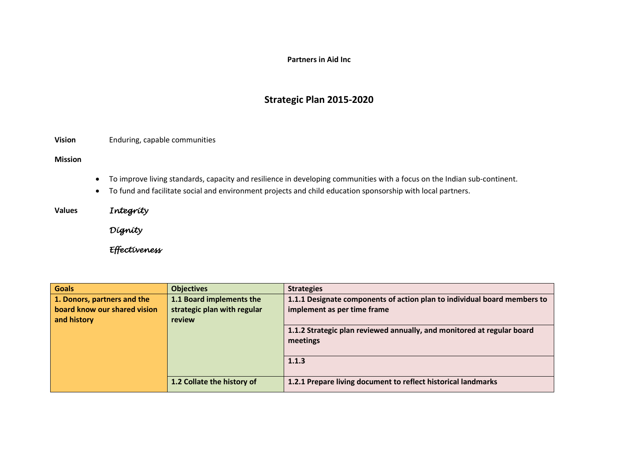## **Partners in Aid Inc**

## **Strategic Plan 2015-2020**

**Vision** Enduring, capable communities

**Mission**

- To improve living standards, capacity and resilience in developing communities with a focus on the Indian sub-continent.
- To fund and facilitate social and environment projects and child education sponsorship with local partners.

**Values** *Integrity* 

 *Dignity* 

 *Effectiveness* 

| <b>Goals</b>                 | <b>Objectives</b>           | <b>Strategies</b>                                                        |
|------------------------------|-----------------------------|--------------------------------------------------------------------------|
| 1. Donors, partners and the  | 1.1 Board implements the    | 1.1.1 Designate components of action plan to individual board members to |
| board know our shared vision | strategic plan with regular | implement as per time frame                                              |
| and history                  | review                      |                                                                          |
|                              |                             | 1.1.2 Strategic plan reviewed annually, and monitored at regular board   |
|                              |                             | meetings                                                                 |
|                              |                             |                                                                          |
|                              |                             | 1.1.3                                                                    |
|                              |                             |                                                                          |
|                              | 1.2 Collate the history of  | 1.2.1 Prepare living document to reflect historical landmarks            |
|                              |                             |                                                                          |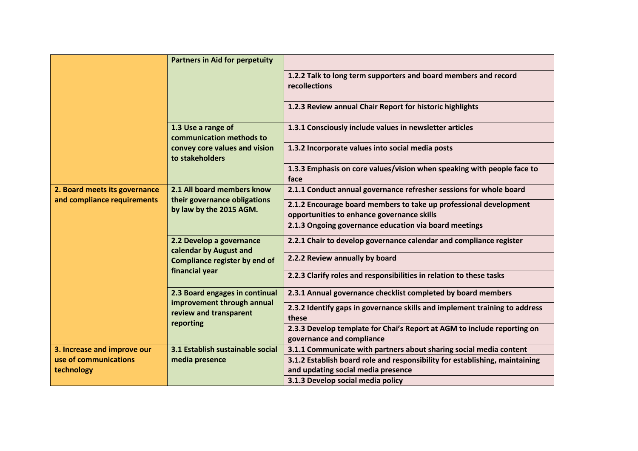|                                                                    | <b>Partners in Aid for perpetuity</b>                                                                        |                                                                                                                   |
|--------------------------------------------------------------------|--------------------------------------------------------------------------------------------------------------|-------------------------------------------------------------------------------------------------------------------|
|                                                                    |                                                                                                              | 1.2.2 Talk to long term supporters and board members and record<br>recollections                                  |
|                                                                    |                                                                                                              | 1.2.3 Review annual Chair Report for historic highlights                                                          |
|                                                                    | 1.3 Use a range of<br>communication methods to                                                               | 1.3.1 Consciously include values in newsletter articles                                                           |
|                                                                    | convey core values and vision<br>to stakeholders                                                             | 1.3.2 Incorporate values into social media posts                                                                  |
|                                                                    |                                                                                                              | 1.3.3 Emphasis on core values/vision when speaking with people face to<br>face                                    |
| 2. Board meets its governance                                      | 2.1 All board members know<br>their governance obligations<br>by law by the 2015 AGM.                        | 2.1.1 Conduct annual governance refresher sessions for whole board                                                |
| and compliance requirements                                        |                                                                                                              | 2.1.2 Encourage board members to take up professional development<br>opportunities to enhance governance skills   |
|                                                                    |                                                                                                              | 2.1.3 Ongoing governance education via board meetings                                                             |
|                                                                    | 2.2 Develop a governance<br>calendar by August and<br><b>Compliance register by end of</b><br>financial year | 2.2.1 Chair to develop governance calendar and compliance register                                                |
|                                                                    |                                                                                                              | 2.2.2 Review annually by board                                                                                    |
|                                                                    |                                                                                                              | 2.2.3 Clarify roles and responsibilities in relation to these tasks                                               |
|                                                                    | 2.3 Board engages in continual<br>improvement through annual<br>review and transparent<br>reporting          | 2.3.1 Annual governance checklist completed by board members                                                      |
|                                                                    |                                                                                                              | 2.3.2 Identify gaps in governance skills and implement training to address<br>these                               |
|                                                                    |                                                                                                              | 2.3.3 Develop template for Chai's Report at AGM to include reporting on<br>governance and compliance              |
| 3. Increase and improve our<br>use of communications<br>technology | 3.1 Establish sustainable social<br>media presence                                                           | 3.1.1 Communicate with partners about sharing social media content                                                |
|                                                                    |                                                                                                              | 3.1.2 Establish board role and responsibility for establishing, maintaining<br>and updating social media presence |
|                                                                    |                                                                                                              | 3.1.3 Develop social media policy                                                                                 |